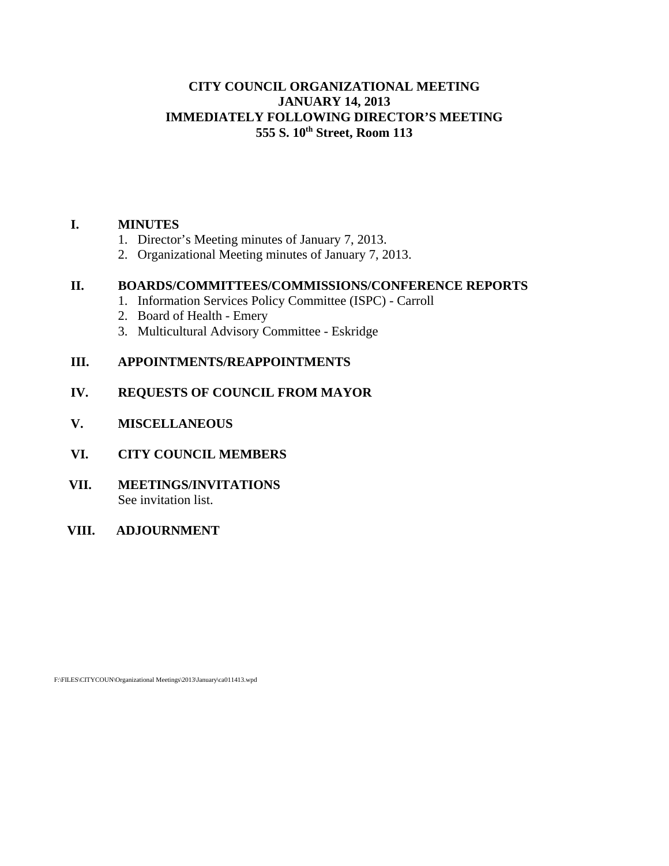# **CITY COUNCIL ORGANIZATIONAL MEETING JANUARY 14, 2013 IMMEDIATELY FOLLOWING DIRECTOR'S MEETING 555 S. 10th Street, Room 113**

# **I. MINUTES**

- 1. Director's Meeting minutes of January 7, 2013.
- 2. Organizational Meeting minutes of January 7, 2013.

## **II. BOARDS/COMMITTEES/COMMISSIONS/CONFERENCE REPORTS**

- 1. Information Services Policy Committee (ISPC) Carroll
- 2. Board of Health Emery
- 3. Multicultural Advisory Committee Eskridge

# **III. APPOINTMENTS/REAPPOINTMENTS**

# **IV. REQUESTS OF COUNCIL FROM MAYOR**

- **V. MISCELLANEOUS**
- **VI. CITY COUNCIL MEMBERS**
- **VII. MEETINGS/INVITATIONS** See invitation list.
- **VIII. ADJOURNMENT**

F:\FILES\CITYCOUN\Organizational Meetings\2013\January\ca011413.wpd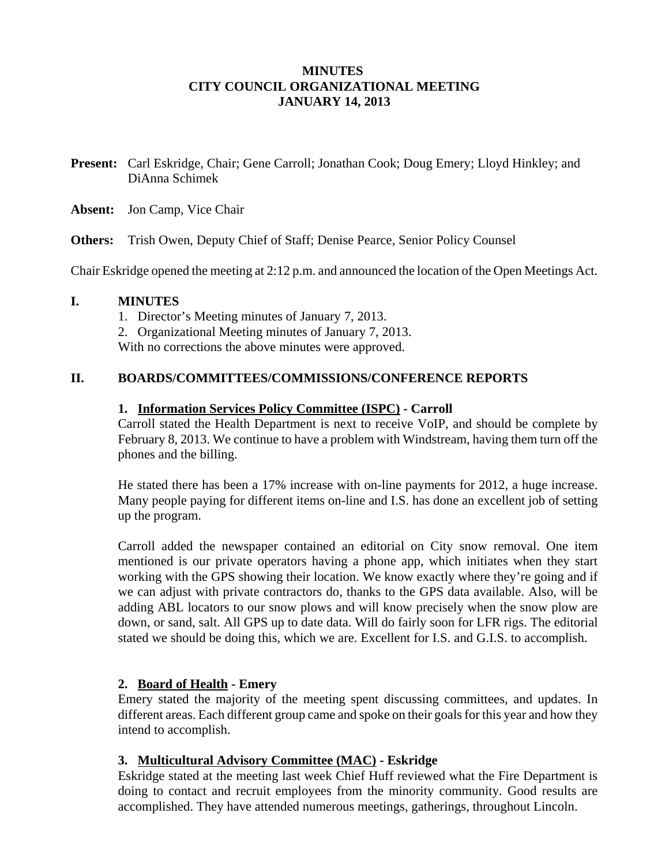# **MINUTES CITY COUNCIL ORGANIZATIONAL MEETING JANUARY 14, 2013**

- **Present:** Carl Eskridge, Chair; Gene Carroll; Jonathan Cook; Doug Emery; Lloyd Hinkley; and DiAnna Schimek
- **Absent:** Jon Camp, Vice Chair

**Others:** Trish Owen, Deputy Chief of Staff; Denise Pearce, Senior Policy Counsel

Chair Eskridge opened the meeting at 2:12 p.m. and announced the location of the Open Meetings Act.

#### **I. MINUTES**

- 1. Director's Meeting minutes of January 7, 2013.
- 2. Organizational Meeting minutes of January 7, 2013.

With no corrections the above minutes were approved.

#### **II. BOARDS/COMMITTEES/COMMISSIONS/CONFERENCE REPORTS**

### **1. Information Services Policy Committee (ISPC) - Carroll**

Carroll stated the Health Department is next to receive VoIP, and should be complete by February 8, 2013. We continue to have a problem with Windstream, having them turn off the phones and the billing.

He stated there has been a 17% increase with on-line payments for 2012, a huge increase. Many people paying for different items on-line and I.S. has done an excellent job of setting up the program.

Carroll added the newspaper contained an editorial on City snow removal. One item mentioned is our private operators having a phone app, which initiates when they start working with the GPS showing their location. We know exactly where they're going and if we can adjust with private contractors do, thanks to the GPS data available. Also, will be adding ABL locators to our snow plows and will know precisely when the snow plow are down, or sand, salt. All GPS up to date data. Will do fairly soon for LFR rigs. The editorial stated we should be doing this, which we are. Excellent for I.S. and G.I.S. to accomplish.

## **2. Board of Health - Emery**

Emery stated the majority of the meeting spent discussing committees, and updates. In different areas. Each different group came and spoke on their goals for this year and how they intend to accomplish.

## **3. Multicultural Advisory Committee (MAC) - Eskridge**

Eskridge stated at the meeting last week Chief Huff reviewed what the Fire Department is doing to contact and recruit employees from the minority community. Good results are accomplished. They have attended numerous meetings, gatherings, throughout Lincoln.